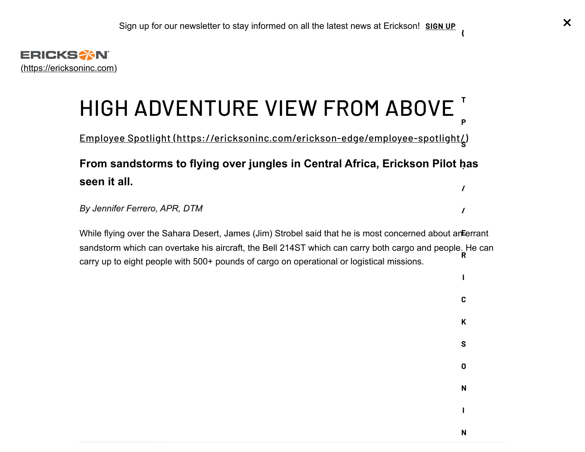<span id="page-0-0"></span>

## HIGH ADVENTURE VIEW FROM AB[OVE](https://ericksoninc.com/stay-informed/) **T P**

Employee Spotlight [\(https://ericksoninc.com/erickson-edge/employee-spotlight/\)](https://ericksoninc.com/erickson-edge/employee-spotlight/) **S**

### **From sandstorms to flying over jungles in Central Africa, Erickson Pilot has : seen it all. /**

*By Jennifer Ferrero, APR, DTM*

While flying over the Sahara Desert, James (Jim) Strobel said that he is most concerned about an**E**errant sandstorm which can overtake his aircraft, the Bell 214ST which can carry both cargo and people. He can carry up to eight people with 500+ pounds of cargo on operational or logistical missions. **R**

**(**

**/**

**I**

**C**

**K**

**S**

**O**

**N**

**I**

**N**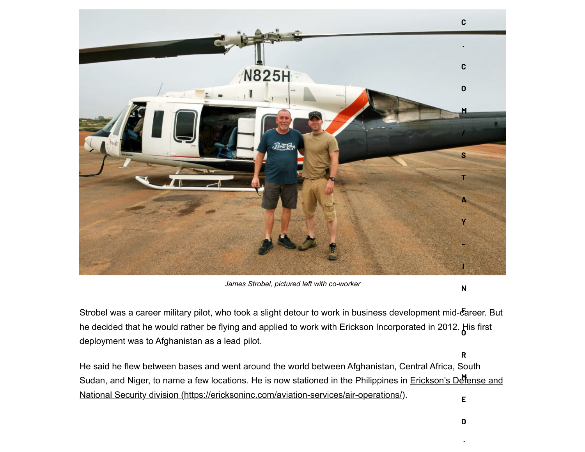

*James Strobel, pictured left with co-worker*

**N**

**R**

Strobel was a career military pilot, who took a slight detour to work in business development mid-career. But he decided that he would rather be flying and applied to work with Erickson Incorporated in 2012. His first **O** deployment was to Afghanistan as a lead pilot.

He said he flew between bases and went around the world between Afghanistan, Central Africa, South Sudan, and Niger, to name a few locations. He is now stationed in the Philippines in <u>Erickson's Defense and</u> National Security division (https://ericksoninc.com/aviation-services/air-operations/). **E**

**/**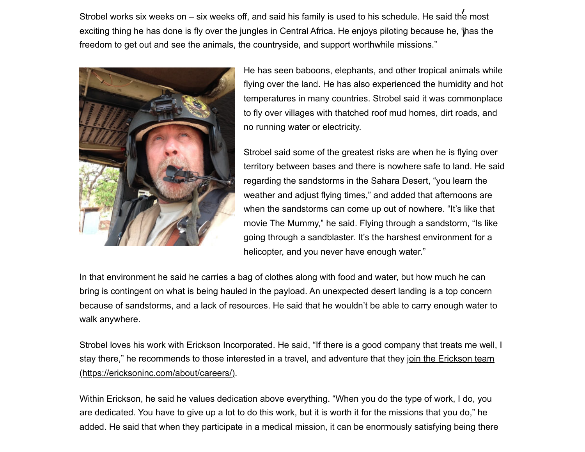Strobel works six weeks on – six weeks off, and said his family is used to his schedule. He said the most **/** exciting thing he has done is fly over the jungles in Central Africa. He enjoys piloting because he, "has the **)**freedom to get out and see the animals, the countryside, and support worthwhile missions."



He has seen baboons, elephants, and other tropical animals while flying over the land. He has also experienced the humidity and hot temperatures in many countries. Strobel said it was commonplace to fly over villages with thatched roof mud homes, dirt roads, and no running water or electricity.

Strobel said some of the greatest risks are when he is flying over territory between bases and there is nowhere safe to land. He said regarding the sandstorms in the Sahara Desert, "you learn the weather and adjust flying times," and added that afternoons are when the sandstorms can come up out of nowhere. "It's like that movie The Mummy," he said. Flying through a sandstorm, "Is like going through a sandblaster. It's the harshest environment for a helicopter, and you never have enough water."

In that environment he said he carries a bag of clothes along with food and water, but how much he can bring is contingent on what is being hauled in the payload. An unexpected desert landing is a top concern because of sandstorms, and a lack of resources. He said that he wouldn't be able to carry enough water to walk anywhere.

Strobel loves his work with Erickson Incorporated. He said, "If there is a good company that treats me well, I [stay there," he recommends to those interested in a travel, and adventure that they join the Erickson team](https://ericksoninc.com/about/careers/) (https://ericksoninc.com/about/careers/).

Within Erickson, he said he values dedication above everything. "When you do the type of work, I do, you are dedicated. You have to give up a lot to do this work, but it is worth it for the missions that you do," he added. He said that when they participate in a medical mission, it can be enormously satisfying being there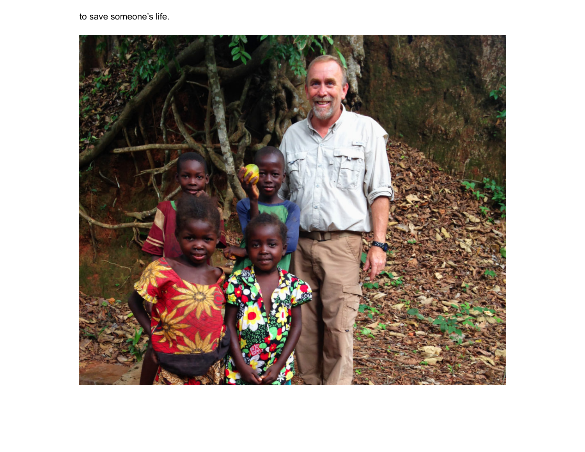to save someone's life.

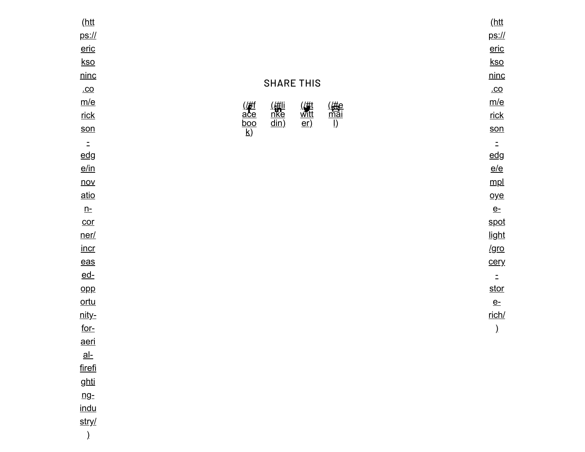| (htt                      |                                                                                                                                                                                    | (htt         |
|---------------------------|------------------------------------------------------------------------------------------------------------------------------------------------------------------------------------|--------------|
| $ps:$ //                  |                                                                                                                                                                                    | <u>ps://</u> |
| eric                      |                                                                                                                                                                                    | eric         |
| kso                       |                                                                                                                                                                                    | <u>kso</u>   |
| ninc                      |                                                                                                                                                                                    | ninc         |
| $co$                      | <b>SHARE THIS</b>                                                                                                                                                                  | $co$         |
| m/e                       |                                                                                                                                                                                    | m/e          |
| <u>rick</u>               | ( <u>#li</u><br><u>nke</u><br>din)<br>$\frac{(\frac{\mu}{\mu t})}{\frac{\text{witt}}{\text{er}}}$<br>$\begin{array}{c}\n\text{(#e)}\\ \hline\n\text{mail}\\\text{I)}\n\end{array}$ | <u>rick</u>  |
| son                       | $\frac{(\cancel{H})}{\frac{\text{ac}}{\text{boo}}}{\frac{\text{boo}}{\text{k}}}}$                                                                                                  | son          |
| $\Xi$                     |                                                                                                                                                                                    | $\Xi$        |
| <u>edg</u>                |                                                                                                                                                                                    | edg          |
| $e/\text{in}$             |                                                                                                                                                                                    | e/e          |
| $\overline{nov}$          |                                                                                                                                                                                    | mpl          |
| <u>atio</u>               |                                                                                                                                                                                    | oye          |
| $n-$                      |                                                                                                                                                                                    | $e$ -        |
| $\overline{\text{cor}}$   |                                                                                                                                                                                    | <u>spot</u>  |
| ner/                      |                                                                                                                                                                                    | light        |
| <u>incr</u>               |                                                                                                                                                                                    | <u>/gro</u>  |
| $\frac{eas}{eas}$         |                                                                                                                                                                                    | <u>cery</u>  |
| $ed-$                     |                                                                                                                                                                                    | $\Xi$        |
| $_{\text{opp}}$           |                                                                                                                                                                                    | <u>stor</u>  |
| ortu                      |                                                                                                                                                                                    | $e$ -        |
| <u>nity-</u>              |                                                                                                                                                                                    | rich/        |
| <u>for-</u>               |                                                                                                                                                                                    | $\lambda$    |
| <u>aeri</u>               |                                                                                                                                                                                    |              |
| $\underline{\mathsf{al}}$ |                                                                                                                                                                                    |              |
| firefi                    |                                                                                                                                                                                    |              |
| <u>ghti</u>               |                                                                                                                                                                                    |              |
| ng <sub>z</sub>           |                                                                                                                                                                                    |              |
| <u>indu</u>               |                                                                                                                                                                                    |              |
| stry/                     |                                                                                                                                                                                    |              |
| $\big)$                   |                                                                                                                                                                                    |              |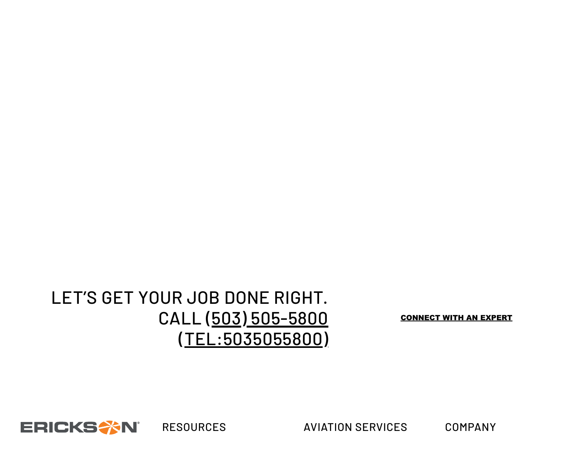# LET'S GET YOUR JOB DONE RIGHT. CALL (503) 505-5800 [\(TEL:5035055800\)](tel:5035055800)

[CONNECT WITH AN EXPERT](javascript:;)



RESOURCES AVIATION SERVICES COMPANY